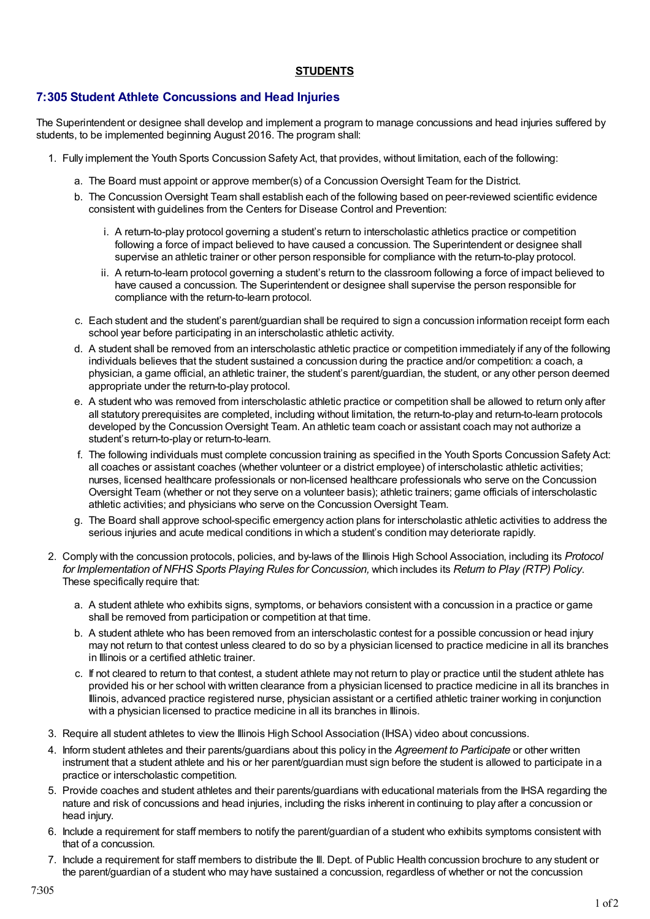## **STUDENTS**

## **7:305 Student Athlete Concussions and Head Injuries**

The Superintendent or designee shall develop and implement a program to manage concussions and head injuries suffered by students, to be implemented beginning August 2016. The program shall:

- 1. Fully implement the Youth Sports Concussion Safety Act, that provides, without limitation, each of the following:
	- a. The Board must appoint or approve member(s) of a ConcussionOversight Team for the District.
	- b. The Concussion Oversight Team shall establish each of the following based on peer-reviewed scientific evidence consistent with guidelines from the Centers for Disease Control and Prevention:
		- i. A return-to-play protocol governing a student's return to interscholastic athletics practice or competition following a force of impact believed to have caused a concussion. The Superintendent or designee shall supervise an athletic trainer or other person responsible for compliance with the return-to-play protocol.
		- ii. A return-to-learn protocol governing a student's return to the classroom following a force of impact believed to have caused a concussion. The Superintendent or designee shall supervise the person responsible for compliance with the return-to-learn protocol.
	- c. Each student and the student's parent/guardian shall be required to sign a concussion information receipt form each school year before participating in an interscholastic athletic activity.
	- d. A student shall be removed from an interscholastic athletic practice or competition immediately if any of the following individuals believes that the student sustained a concussion during the practice and/or competition: a coach, a physician, a game official, an athletic trainer, the student's parent/guardian, the student, or any other person deemed appropriate under the return-to-play protocol.
	- e. A student who was removed from interscholastic athletic practice or competition shall be allowed to return only after all statutory prerequisites are completed, including without limitation, the return-to-play and return-to-learn protocols developed by the Concussion Oversight Team. An athletic team coach or assistant coach may not authorize a student's return-to-play or return-to-learn.
	- f. The following individuals must complete concussion training as specified in the Youth Sports Concussion Safety Act: all coaches or assistant coaches (whether volunteer or a district employee) of interscholastic athletic activities; nurses, licensed healthcare professionals or non-licensed healthcare professionals who serve on the Concussion Oversight Team (whether or not they serve on a volunteer basis); athletic trainers; game officials of interscholastic athletic activities; and physicians who serve on the Concussion Oversight Team.
	- g. The Board shall approve school-specific emergency action plans for interscholastic athletic activities to address the serious injuries and acute medical conditions in which a student's condition may deteriorate rapidly.
- 2. Comply with the concussion protocols, policies, and by-laws of the Illinois High School Association, including its *Protocol for Implementation of NFHS Sports Playing Rules for Concussion,* which includes its *Return to Play (RTP) Policy*. These specifically require that:
	- a. A student athlete who exhibits signs, symptoms, or behaviors consistent with a concussion in a practice or game shall be removed from participation or competition at that time.
	- b. A student athlete who has been removed from an interscholastic contest for a possible concussion or head injury may not return to that contest unless cleared to do so by a physician licensed to practice medicine in all its branches in Illinois or a certified athletic trainer.
	- c. If not cleared to return to that contest, a student athlete may not return to play or practice until the student athlete has provided his or her school with written clearance from a physician licensed to practice medicine in all its branches in Illinois, advanced practice registered nurse, physician assistant or a certified athletic trainer working in conjunction with a physician licensed to practice medicine in all its branches in Illinois.
- 3. Require all student athletes to view the Illinois High School Association (IHSA) video about concussions.
- 4. Inform student athletes and their parents/guardians about this policy in the *Agreement to Participate* or other written instrument that a student athlete and his or her parent/guardian must sign before the student is allowed to participate in a practice or interscholastic competition.
- 5. Provide coaches and student athletes and their parents/guardians with educational materials from the IHSA regarding the nature and risk of concussions and head injuries, including the risks inherent in continuing to play after a concussion or head injury.
- 6. Include a requirement for staff members to notify the parent/guardian of a student who exhibits symptoms consistent with that of a concussion.
- 7. Include a requirement for staff members to distribute the Ill. Dept. of Public Health concussion brochure to any student or the parent/guardian of a student who may have sustained a concussion, regardless of whether or not the concussion